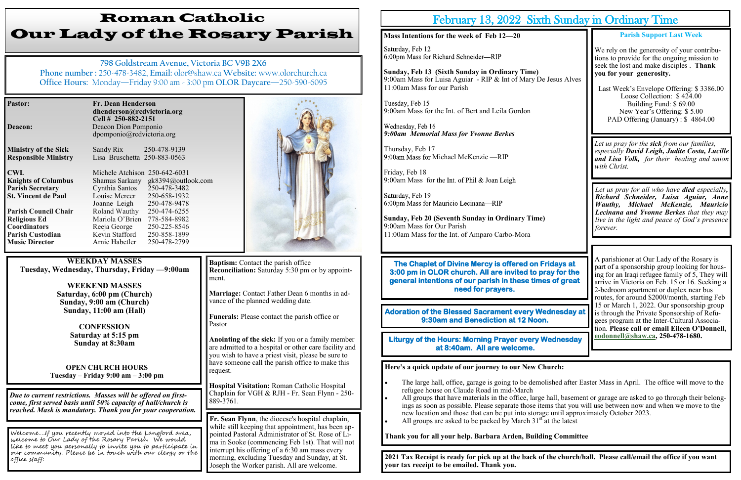| <b>Pastor:</b>              | <b>Fr. Dean Henderson</b><br>dhenderson@rcdvictoria.org<br>Cell # 250-882-2151 |                                   |
|-----------------------------|--------------------------------------------------------------------------------|-----------------------------------|
| Deacon:                     | Deacon Dion Pomponio                                                           |                                   |
|                             | dpomponio@rcdvictoria.org                                                      |                                   |
| <b>Ministry of the Sick</b> | Sandy Rix                                                                      | 250-478-9139                      |
| <b>Responsible Ministry</b> | Lisa Bruschetta 250-883-0563                                                   |                                   |
| <b>CWL</b>                  | Michele Atchison 250-642-6031                                                  |                                   |
| <b>Knights of Columbus</b>  |                                                                                | Shamus Sarkany gk8394@outlook.com |
| <b>Parish Secretary</b>     | Cynthia Santos                                                                 | 250-478-3482                      |
| <b>St. Vincent de Paul</b>  | Louise Mercer                                                                  | 250-658-1932                      |
|                             | Joanne Leigh                                                                   | 250-478-9478                      |
| <b>Parish Council Chair</b> | Roland Wauthy                                                                  | 250-474-6255                      |
| <b>Religious Ed</b>         | Mariola O'Brien                                                                | 778-584-8982                      |
| <b>Coordinators</b>         | Reeja George                                                                   | 250-225-8546                      |
| <b>Parish Custodian</b>     | Kevin Stafford                                                                 | 250-858-1899                      |

**Baptism:** Contact the parish office **Reconciliation:** Saturday 5:30 pm or by appointment.

# Roman Catholic Our Lady of the Rosary Parish

**798 Goldstream Avenue, Victoria BC V9B 2X6 Phone number :** 250-478-3482, **Email:** olor@shaw.ca **Website:** www.olorchurch.ca **Office Hours:** Monday—Friday 9:00 am - 3:00 pm **OLOR Daycare**—250-590-6095

**WEEKDAY MASSES Tuesday, Wednesday, Thursday, Friday —9:00am**

**Music Director Arnie Habetler** 250-478-2799

**WEEKEND MASSES Saturday, 6:00 pm (Church) Sunday, 9:00 am (Church) Sunday, 11:00 am (Hall)**

> **CONFESSION Saturday at 5:15 pm Sunday at 8:30am**

**OPEN CHURCH HOURS Tuesday – Friday 9:00 am – 3:00 pm** **Marriage:** Contact Father Dean 6 months in advance of the planned wedding date.

**Funerals:** Please contact the parish office or Pastor

Tuesday, Feb 15 9:00am Mass for the Int. of Bert and Leila Gordon

Wednesday, Feb 16 *9:00am Memorial Mass for Yvonne Berkes*

Thursday, Feb 17 9:00am Mass for Michael McKenzie —RIP

Friday, Feb 18 9:00am Mass for the Int. of Phil & Joan Leigh

Saturday, Feb 19 6:00pm Mass for Mauricio Lecinana-RIP

**Anointing of the sick:** If you or a family member are admitted to a hospital or other care facility and you wish to have a priest visit, please be sure to have someone call the parish office to make this request.

**Hospital Visitation:** Roman Catholic Hospital Chaplain for VGH & RJH - Fr. Sean Flynn - 250- 889-3761.

*Due to current restrictions. Masses will be offered on firstcome, first served basis until 50% capacity of hall/church is reached. Mask is mandatory. Thank you for your cooperation.*

**The Chaplet of Divine Mercy is offered on F 3:00 pm in OLOR church. All are invited to proportionally general intentions of our parish in these times of great need for prayers.** 

**Adoration of the Blessed Sacrament every We 9:30am and Benediction at 12 Noor** 

**Liturgy of the Hours: Morning Prayer every \ at 8:40am. All are welcome.** 

Welcome….If you recently moved into the Langford area, welcome to Our Lady of the Rosary Parish. We would like to meet you personally to invite you to participate in our community. Please be in touch with our clergy or the office staff:



**Fr. Sean Flynn**, the diocese's hospital chaplain, while still keeping that appointment, has been appointed Pastoral Administrator of St. Rose of Lima in Sooke (commencing Feb 1st). That will not interrupt his offering of a 6:30 am mass every morning, excluding Tuesday and Sunday, at St. Joseph the Worker parish. All are welcome.

## February 13,  $2022$  Sixt

- refugee house on Claude Road in mid-March
- new location and those that can be put into storage until approximately October 2023.
- All groups are asked to be packed by March  $31<sup>st</sup>$  at the latest

### **Mass Intentions for the week of Feb 12—20**

Saturday, Feb 12 6:00pm Mass for Richard Schneider-RIP

**Sunday, Feb 13 (Sixth Sunday in Ordinary Time)** 9:00am Mass for Luisa Aguiar - RIP & Int of Mary De 11:00am Mass for our Parish

**Sunday, Feb 20 (Seventh Sunday in Ordinary Time)** 9:00am Mass for Our Parish 11:00am Mass for the Int. of Amparo Carbo-Mora

| <b>h Sunday in Ordinary Time</b>               |                                                                                                                                                                                                                                                                                                                                                                              |  |  |
|------------------------------------------------|------------------------------------------------------------------------------------------------------------------------------------------------------------------------------------------------------------------------------------------------------------------------------------------------------------------------------------------------------------------------------|--|--|
| <b>E</b> Jesus Alves                           | <b>Parish Support Last Week</b><br>We rely on the generosity of your contribu-<br>tions to provide for the ongoing mission to<br>seek the lost and make disciples. Thank<br>you for your generosity.<br>Last Week's Envelope Offering: \$3386.00<br>Loose Collection: \$424.00<br>Building Fund: \$69.00<br>New Year's Offering: \$5.00<br>PAD Offering (January): \$4864.00 |  |  |
|                                                | Let us pray for the <b>sick</b> from our families,<br>especially David Leigh, Judite Costa, Lucille<br>and Lisa Volk, for their healing and union<br>with Christ.                                                                                                                                                                                                            |  |  |
|                                                | Let us pray for all who have <b>died</b> especially,<br>Richard Schneider, Luisa Aguiar, Anne<br><b>Wauthy, Michael McKenzie, Mauricio</b><br><b>Lecinana and Yvonne Berkes</b> that they may<br>live in the light and peace of God's presence<br>forever.                                                                                                                   |  |  |
| <b>ridays at</b><br>ray for the<br>es of areat | A parishioner at Our Lady of the Rosary is<br>part of a sponsorship group looking for hous-<br>ing for an Iraqi refugee family of 5, They will<br>arrive in Victoria on Feb. 15 or 16. Seeking a<br>2-bedroom apartment or duplex near bus<br>routes, for around \$2000/month, starting Feb                                                                                  |  |  |
| ednesday at<br><b>Vednesday</b>                | 15 or March 1, 2022. Our sponsorship group<br>is through the Private Sponsorship of Refu-<br>gees program at the Inter-Cultural Associa-<br>tion. Please call or email Eileen O'Donnell,<br>eodonnell@shaw.ca, 250-478-1680.                                                                                                                                                 |  |  |
|                                                |                                                                                                                                                                                                                                                                                                                                                                              |  |  |

**Here's a quick update of our journey to our New Church:**

• The large hall, office, garage is going to be demolished after Easter Mass in April. The office will move to the

• All groups that have materials in the office, large hall, basement or garage are asked to go through their belongings as soon as possible. Please separate those items that you will use between now and when we move to the

**Thank you for all your help. Barbara Arden, Building Committee**

**2021 Tax Receipt is ready for pick up at the back of the church/hall. Please call/email the office if you want your tax receipt to be emailed. Thank you.**